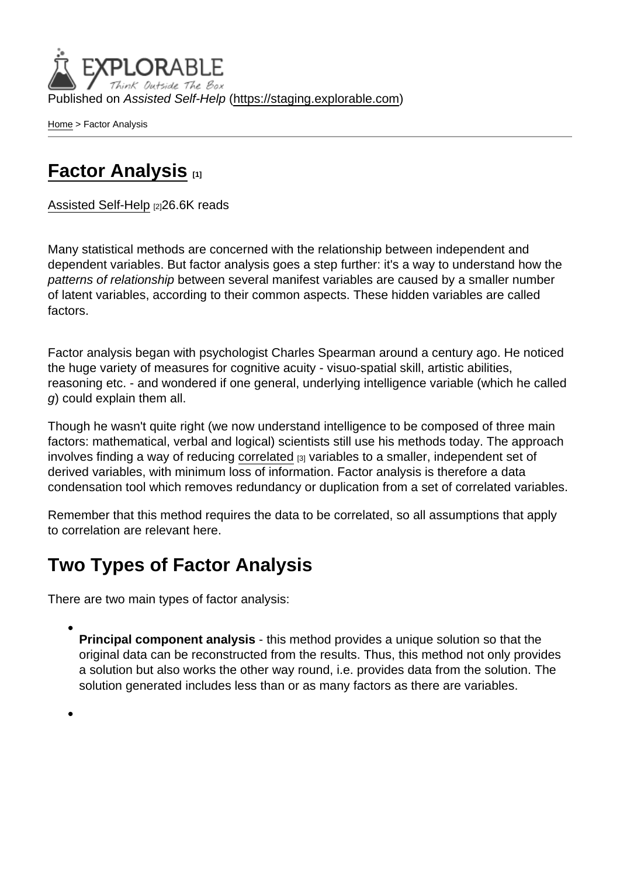Published on Assisted Self-Help [\(https://staging.explorable.com](https://staging.explorable.com))

[Home](https://staging.explorable.com/en) > Factor Analysis

## [Factor Analysis](https://staging.explorable.com/en/factor-analysis) [1]

[Assisted Self-Help](https://staging.explorable.com/en) [2]26.6K reads

Many statistical methods are concerned with the relationship between independent and dependent variables. But factor analysis goes a step further: it's a way to understand how the patterns of relationship between several manifest variables are caused by a smaller number of latent variables, according to their common aspects. These hidden variables are called factors.

Factor analysis began with psychologist Charles Spearman around a century ago. He noticed the huge variety of measures for cognitive acuity - visuo-spatial skill, artistic abilities, reasoning etc. - and wondered if one general, underlying intelligence variable (which he called g) could explain them all.

Though he wasn't quite right (we now understand intelligence to be composed of three main factors: mathematical, verbal and logical) scientists still use his methods today. The approach involves finding a way of reducing [correlated](https://staging.explorable.com/statistical-correlation) [3] variables to a smaller, independent set of derived variables, with minimum loss of information. Factor analysis is therefore a data condensation tool which removes redundancy or duplication from a set of correlated variables.

Remember that this method requires the data to be correlated, so all assumptions that apply to correlation are relevant here.

## Two Types of Factor Analysis

There are two main types of factor analysis:

Principal component analysis - this method provides a unique solution so that the original data can be reconstructed from the results. Thus, this method not only provides a solution but also works the other way round, i.e. provides data from the solution. The solution generated includes less than or as many factors as there are variables.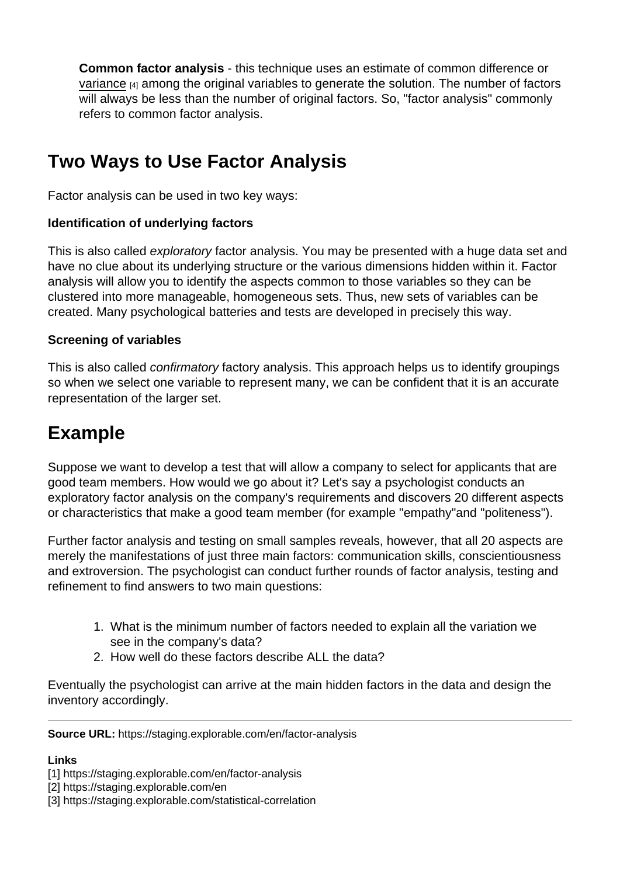Common factor analysis - this technique uses an estimate of common difference or [variance](https://staging.explorable.com/statistical-variance) [4] among the original variables to generate the solution. The number of factors will always be less than the number of original factors. So, "factor analysis" commonly refers to common factor analysis.

# Two Ways to Use Factor Analysis

Factor analysis can be used in two key ways:

Identification of underlying factors

This is also called exploratory factor analysis. You may be presented with a huge data set and have no clue about its underlying structure or the various dimensions hidden within it. Factor analysis will allow you to identify the aspects common to those variables so they can be clustered into more manageable, homogeneous sets. Thus, new sets of variables can be created. Many psychological batteries and tests are developed in precisely this way.

#### Screening of variables

This is also called confirmatory factory analysis. This approach helps us to identify groupings so when we select one variable to represent many, we can be confident that it is an accurate representation of the larger set.

## Example

Suppose we want to develop a test that will allow a company to select for applicants that are good team members. How would we go about it? Let's say a psychologist conducts an exploratory factor analysis on the company's requirements and discovers 20 different aspects or characteristics that make a good team member (for example "empathy"and "politeness").

Further factor analysis and testing on small samples reveals, however, that all 20 aspects are merely the manifestations of just three main factors: communication skills, conscientiousness and extroversion. The psychologist can conduct further rounds of factor analysis, testing and refinement to find answers to two main questions:

- 1. What is the minimum number of factors needed to explain all the variation we see in the company's data?
- 2. How well do these factors describe ALL the data?

Eventually the psychologist can arrive at the main hidden factors in the data and design the inventory accordingly.

Source URL: https://staging.explorable.com/en/factor-analysis

Links

<sup>[1]</sup> https://staging.explorable.com/en/factor-analysis

<sup>[2]</sup> https://staging.explorable.com/en

<sup>[3]</sup> https://staging.explorable.com/statistical-correlation